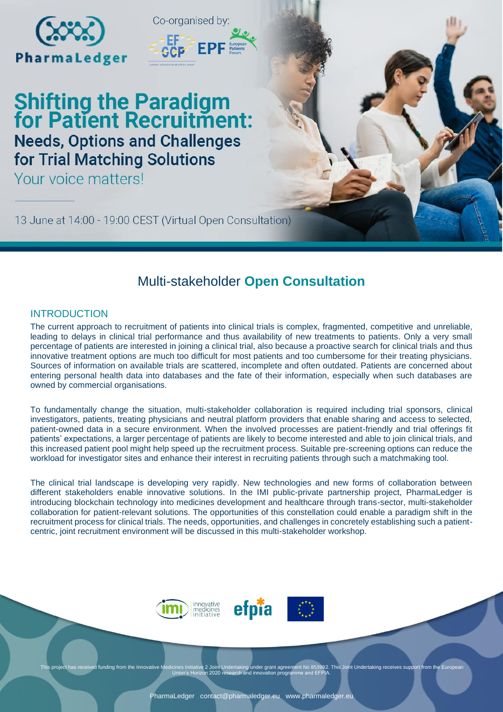



# **Shifting the Paradigm<br>for Patient Recruitment: Needs, Options and Challenges** for Trial Matching Solutions

Your voice matters!

13 June at 14:00 - 19:00 CEST (Virtual Open Consultation)

## Multi-stakeholder **Open Consultation**

### INTRODUCTION

The current approach to recruitment of patients into clinical trials is complex, fragmented, competitive and unreliable, leading to delays in clinical trial performance and thus availability of new treatments to patients. Only a very small percentage of patients are interested in joining a clinical trial, also because a proactive search for clinical trials and thus innovative treatment options are much too difficult for most patients and too cumbersome for their treating physicians. Sources of information on available trials are scattered, incomplete and often outdated. Patients are concerned about entering personal health data into databases and the fate of their information, especially when such databases are owned by commercial organisations.

To fundamentally change the situation, multi-stakeholder collaboration is required including trial sponsors, clinical investigators, patients, treating physicians and neutral platform providers that enable sharing and access to selected, patient-owned data in a secure environment. When the involved processes are patient-friendly and trial offerings fit patients' expectations, a larger percentage of patients are likely to become interested and able to join clinical trials, and this increased patient pool might help speed up the recruitment process. Suitable pre-screening options can reduce the workload for investigator sites and enhance their interest in recruiting patients through such a matchmaking tool.

The clinical trial landscape is developing very rapidly. New technologies and new forms of collaboration between different stakeholders enable innovative solutions. In the IMI public-private partnership project, PharmaLedger is introducing blockchain technology into medicines development and healthcare through trans-sector, multi-stakeholder collaboration for patient-relevant solutions. The opportunities of this constellation could enable a paradigm shift in the recruitment process for clinical trials. The needs, opportunities, and challenges in concretely establishing such a patientcentric, joint recruitment environment will be discussed in this multi-stakeholder workshop.





This project has received funding from the Innovative Medicines Initiative 2 Joint Undertaking under grant agreement No 853992. This Joint Undertaking receives support from the European<br>Union's Horizon 2020 research and in

efpia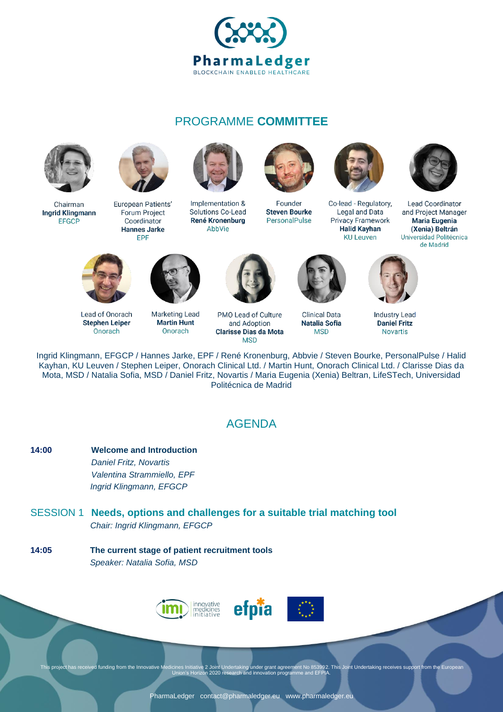

## PROGRAMME **COMMITTEE**



Chairman **Ingrid Klingmann EFGCP** 



European Patients' Forum Project Coordinator **Hannes Jarke** EPF



Implementation & Solutions Co-Lead René Kronenburg AbbVie



Founder **Steven Bourke** PersonalPulse



Co-lead - Regulatory, Legal and Data Privacy Framework **Halid Kayhan KU Leuven** 



Lead Coordinator and Project Manager Maria Eugenia (Xenia) Beltrán Universidad Politécnica de Madrid



Onorach

Lead of Onorach **Stephen Leiper** 

**Marketing Lead Martin Hunt** Onorach



PMO Lead of Culture and Adoption **Clarisse Dias da Mota MSD** 



**Clinical Data Natalia Sofia MSD** 



**Industry Lead Daniel Fritz Novartis** 

Ingrid Klingmann, EFGCP / Hannes Jarke, EPF / René Kronenburg, Abbvie / Steven Bourke, PersonalPulse / Halid Kayhan, KU Leuven / Stephen Leiper, Onorach Clinical Ltd. / Martin Hunt, Onorach Clinical Ltd. / Clarisse Dias da Mota, MSD / Natalia Sofia, MSD / Daniel Fritz, Novartis / Maria Eugenia (Xenia) Beltran, LifeSTech, Universidad Politécnica de Madrid

## AGENDA

- **14:00 Welcome and Introduction** *Daniel Fritz, Novartis Valentina Strammiello, EPF Ingrid Klingmann, EFGCP*
- SESSION 1 **Needs, options and challenges for a suitable trial matching tool** *Chair: Ingrid Klingmann, EFGCP*
- **14:05 The current stage of patient recruitment tools** *Speaker: Natalia Sofia, MSD*



This project has received funding from the Innovative Medicines Initiative 2 Joint Undertaking under grant agreement No 853992. This Joint Undertaking receives support from the European<br>Union's Horizon 2020 research and in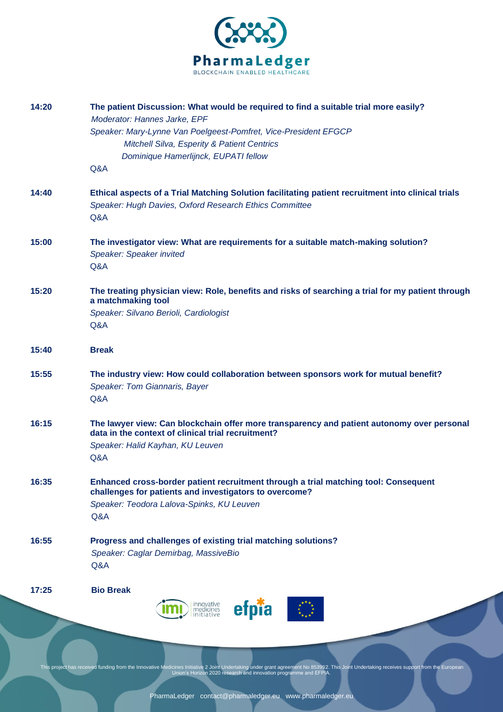

|                | innovative<br>medicines<br>initiative<br>efpia                                                                                                                                                                                                            |
|----------------|-----------------------------------------------------------------------------------------------------------------------------------------------------------------------------------------------------------------------------------------------------------|
| 17:25          | <b>Bio Break</b>                                                                                                                                                                                                                                          |
| 16:55          | Progress and challenges of existing trial matching solutions?<br>Speaker: Caglar Demirbag, MassiveBio<br>Q&A                                                                                                                                              |
| 16:35          | Enhanced cross-border patient recruitment through a trial matching tool: Consequent<br>challenges for patients and investigators to overcome?<br>Speaker: Teodora Lalova-Spinks, KU Leuven<br>Q&A                                                         |
| 16:15          | The lawyer view: Can blockchain offer more transparency and patient autonomy over personal<br>data in the context of clinical trial recruitment?<br>Speaker: Halid Kayhan, KU Leuven<br>Q&A                                                               |
| 15:55          | The industry view: How could collaboration between sponsors work for mutual benefit?<br>Speaker: Tom Giannaris, Bayer<br>Q&A                                                                                                                              |
| 15:40          | <b>Break</b>                                                                                                                                                                                                                                              |
|                | Speaker: Silvano Berioli, Cardiologist<br>Q&A                                                                                                                                                                                                             |
| 15:20          | The treating physician view: Role, benefits and risks of searching a trial for my patient through<br>a matchmaking tool                                                                                                                                   |
|                | Speaker: Speaker invited<br>Q&A                                                                                                                                                                                                                           |
| 14:40<br>15:00 | Ethical aspects of a Trial Matching Solution facilitating patient recruitment into clinical trials<br>Speaker: Hugh Davies, Oxford Research Ethics Committee<br>Q&A<br>The investigator view: What are requirements for a suitable match-making solution? |
|                | Speaker: Mary-Lynne Van Poelgeest-Pomfret, Vice-President EFGCP<br>Mitchell Silva, Esperity & Patient Centrics<br>Dominique Hamerlijnck, EUPATI fellow<br>Q&A                                                                                             |
| 14:20          | The patient Discussion: What would be required to find a suitable trial more easily?<br>Moderator: Hannes Jarke, EPF                                                                                                                                      |

This project has received funding from the Innovative Medicines Initiative 2 Joint Undertaking under grant agreement No 853992. This Joint Undertaking receives support from the European<br>Union's Horizon 2020 research and in